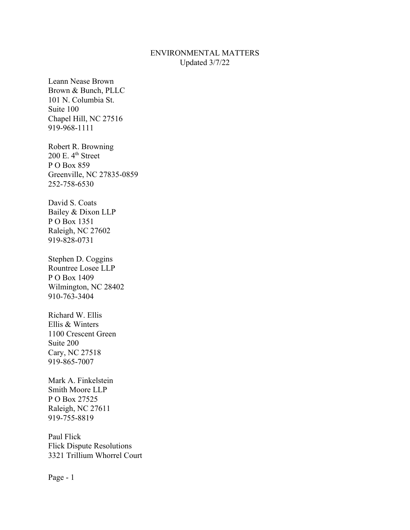## ENVIRONMENTAL MATTERS Updated 3/7/22

Leann Nease Brown Brown & Bunch, PLLC 101 N. Columbia St. Suite 100 Chapel Hill, NC 27516 919-968-1111

Robert R. Browning  $200$  E.  $4^{\text{th}}$  Street P O Box 859 Greenville, NC 27835-0859 252-758-6530

David S. Coats Bailey & Dixon LLP P O Box 1351 Raleigh, NC 27602 919-828-0731

Stephen D. Coggins Rountree Losee LLP P O Box 1409 Wilmington, NC 28402 910-763-3404

Richard W. Ellis Ellis & Winters 1100 Crescent Green Suite 200 Cary, NC 27518 919-865-7007

Mark A. Finkelstein Smith Moore LLP P O Box 27525 Raleigh, NC 27611 919-755-8819

Paul Flick Flick Dispute Resolutions 3321 Trillium Whorrel Court

Page - 1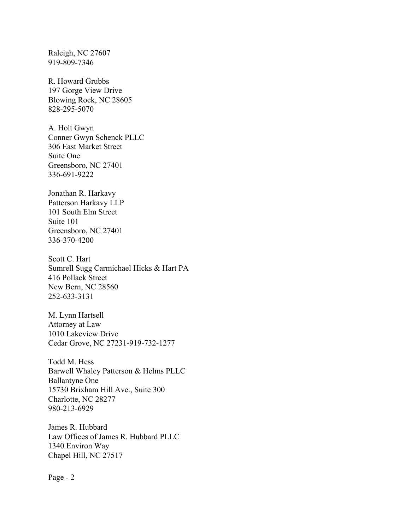Raleigh, NC 27607 919-809-7346

R. Howard Grubbs 197 Gorge View Drive Blowing Rock, NC 28605 828-295-5070

A. Holt Gwyn Conner Gwyn Schenck PLLC 306 East Market Street Suite One Greensboro, NC 27401 336-691-9222

Jonathan R. Harkavy Patterson Harkavy LLP 101 South Elm Street Suite 101 Greensboro, NC 27401 336-370-4200

Scott C. Hart Sumrell Sugg Carmichael Hicks & Hart PA 416 Pollack Street New Bern, NC 28560 252-633-3131

M. Lynn Hartsell Attorney at Law 1010 Lakeview Drive Cedar Grove, NC 27231-919-732-1277

Todd M. Hess Barwell Whaley Patterson & Helms PLLC Ballantyne One 15730 Brixham Hill Ave., Suite 300 Charlotte, NC 28277 980-213-6929

James R. Hubbard Law Offices of James R. Hubbard PLLC 1340 Environ Way Chapel Hill, NC 27517

Page - 2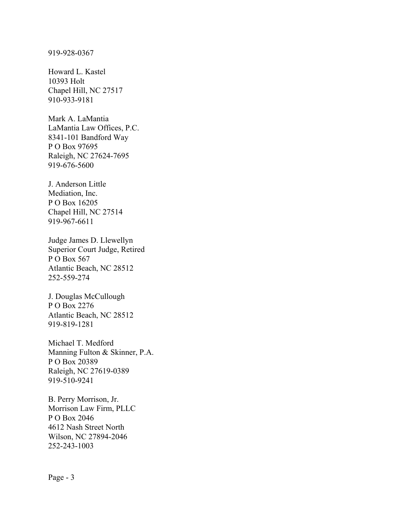## 919-928-0367

Howard L. Kastel 10393 Holt Chapel Hill, NC 27517 910-933-9181

Mark A. LaMantia LaMantia Law Offices, P.C. 8341-101 Bandford Way P O Box 97695 Raleigh, NC 27624-7695 919-676-5600

J. Anderson Little Mediation, Inc. P O Box 16205 Chapel Hill, NC 27514 919-967-6611

Judge James D. Llewellyn Superior Court Judge, Retired P O Box 567 Atlantic Beach, NC 28512 252-559-274

J. Douglas McCullough P O Box 2276 Atlantic Beach, NC 28512 919-819-1281

Michael T. Medford Manning Fulton & Skinner, P.A. P O Box 20389 Raleigh, NC 27619-0389 919-510-9241

B. Perry Morrison, Jr. Morrison Law Firm, PLLC P O Box 2046 4612 Nash Street North Wilson, NC 27894-2046 252-243-1003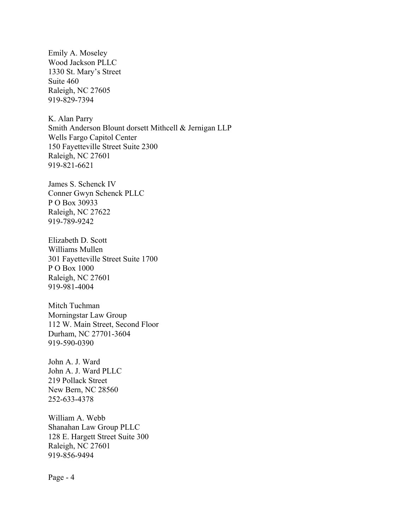Emily A. Moseley Wood Jackson PLLC 1330 St. Mary's Street Suite 460 Raleigh, NC 27605 919-829-7394

K. Alan Parry Smith Anderson Blount dorsett Mithcell & Jernigan LLP Wells Fargo Capitol Center 150 Fayetteville Street Suite 2300 Raleigh, NC 27601 919-821-6621

James S. Schenck IV Conner Gwyn Schenck PLLC P O Box 30933 Raleigh, NC 27622 919-789-9242

Elizabeth D. Scott Williams Mullen 301 Fayetteville Street Suite 1700 P O Box 1000 Raleigh, NC 27601 919-981-4004

Mitch Tuchman Morningstar Law Group 112 W. Main Street, Second Floor Durham, NC 27701-3604 919-590-0390

John A. J. Ward John A. J. Ward PLLC 219 Pollack Street New Bern, NC 28560 252-633-4378

William A. Webb Shanahan Law Group PLLC 128 E. Hargett Street Suite 300 Raleigh, NC 27601 919-856-9494

Page - 4